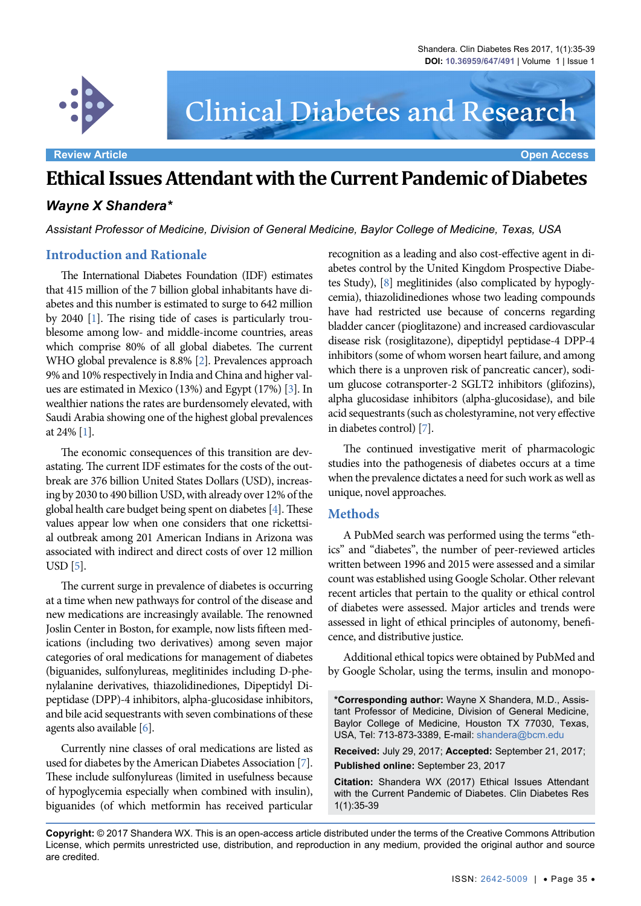

# Clinical Diabetes and Research

## **Ethical Issues Attendant with the Current Pandemic of Diabetes**

### *Wayne X Shandera\**

*Assistant Professor of Medicine, Division of General Medicine, Baylor College of Medicine, Texas, USA*

#### **Introduction and Rationale**

The International Diabetes Foundation (IDF) estimates that 415 million of the 7 billion global inhabitants have diabetes and this number is estimated to surge to 642 million by 2040 [[1\]](#page-3-0). The rising tide of cases is particularly troublesome among low- and middle-income countries, areas which comprise 80% of all global diabetes. The current WHO global prevalence is 8.8% [[2\]](#page-3-1). Prevalences approach 9% and 10% respectively in India and China and higher values are estimated in Mexico (13%) and Egypt (17%) [[3\]](#page-3-2). In wealthier nations the rates are burdensomely elevated, with Saudi Arabia showing one of the highest global prevalences at 24% [[1\]](#page-3-0).

The economic consequences of this transition are devastating. The current IDF estimates for the costs of the outbreak are 376 billion United States Dollars (USD), increasing by 2030 to 490 billion USD, with already over 12% of the global health care budget being spent on diabetes [\[4](#page-3-3)]. These values appear low when one considers that one rickettsial outbreak among 201 American Indians in Arizona was associated with indirect and direct costs of over 12 million USD [\[5](#page-3-4)].

The current surge in prevalence of diabetes is occurring at a time when new pathways for control of the disease and new medications are increasingly available. The renowned Joslin Center in Boston, for example, now lists fifteen medications (including two derivatives) among seven major categories of oral medications for management of diabetes (biguanides, sulfonylureas, meglitinides including D-phenylalanine derivatives, thiazolidinediones, Dipeptidyl Dipeptidase (DPP)-4 inhibitors, alpha-glucosidase inhibitors, and bile acid sequestrants with seven combinations of these agents also available [\[6](#page-3-5)].

Currently nine classes of oral medications are listed as used for diabetes by the American Diabetes Association [\[7](#page-3-6)]. These include sulfonylureas (limited in usefulness because of hypoglycemia especially when combined with insulin), biguanides (of which metformin has received particular

recognition as a leading and also cost-effective agent in diabetes control by the United Kingdom Prospective Diabetes Study), [\[8](#page-3-7)] meglitinides (also complicated by hypoglycemia), thiazolidinediones whose two leading compounds have had restricted use because of concerns regarding bladder cancer (pioglitazone) and increased cardiovascular disease risk (rosiglitazone), dipeptidyl peptidase-4 DPP-4 inhibitors (some of whom worsen heart failure, and among which there is a unproven risk of pancreatic cancer), sodium glucose cotransporter-2 SGLT2 inhibitors (glifozins), alpha glucosidase inhibitors (alpha-glucosidase), and bile acid sequestrants (such as cholestyramine, not very effective in diabetes control) [\[7](#page-3-6)].

The continued investigative merit of pharmacologic studies into the pathogenesis of diabetes occurs at a time when the prevalence dictates a need for such work as well as unique, novel approaches.

#### **Methods**

A PubMed search was performed using the terms "ethics" and "diabetes", the number of peer-reviewed articles written between 1996 and 2015 were assessed and a similar count was established using Google Scholar. Other relevant recent articles that pertain to the quality or ethical control of diabetes were assessed. Major articles and trends were assessed in light of ethical principles of autonomy, beneficence, and distributive justice.

Additional ethical topics were obtained by PubMed and by Google Scholar, using the terms, insulin and monopo-

**\*Corresponding author:** Wayne X Shandera, M.D., Assistant Professor of Medicine, Division of General Medicine, Baylor College of Medicine, Houston TX 77030, Texas, USA, Tel: 713-873-3389, E-mail: shandera@bcm.edu

**Received:** July 29, 2017; **Accepted:** September 21, 2017; **Published online:** September 23, 2017

**Citation:** Shandera WX (2017) Ethical Issues Attendant with the Current Pandemic of Diabetes. Clin Diabetes Res 1(1):35-39

**Copyright:** © 2017 Shandera WX. This is an open-access article distributed under the terms of the Creative Commons Attribution License, which permits unrestricted use, distribution, and reproduction in any medium, provided the original author and source are credited.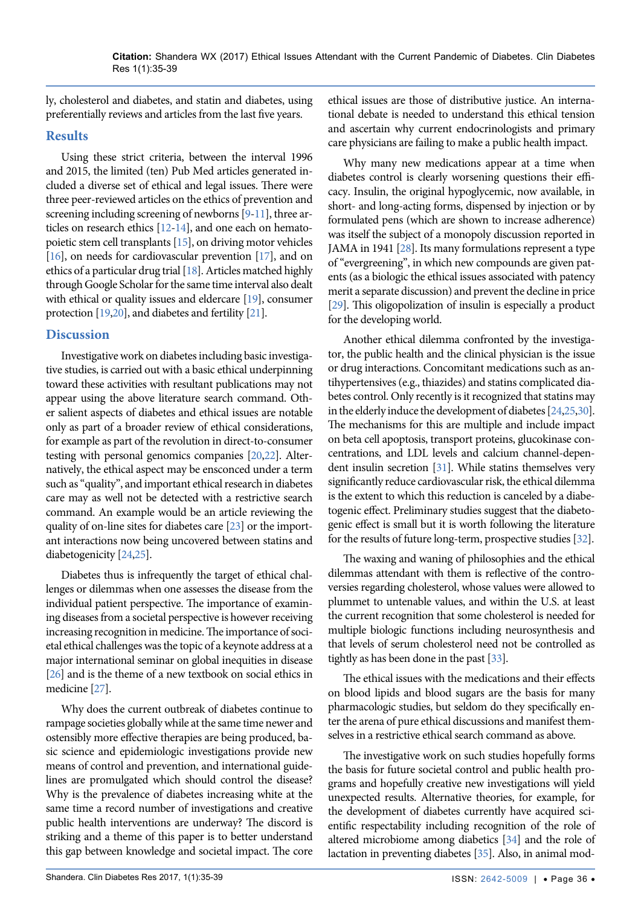ly, cholesterol and diabetes, and statin and diabetes, using preferentially reviews and articles from the last five years.

#### **Results**

Using these strict criteria, between the interval 1996 and 2015, the limited (ten) Pub Med articles generated included a diverse set of ethical and legal issues. There were three peer-reviewed articles on the ethics of prevention and screening including screening of newborns [[9](#page-3-8)[-11\]](#page-3-9), three articles on research ethics [\[12](#page-3-10)-[14\]](#page-3-11), and one each on hematopoietic stem cell transplants [\[15](#page-3-12)], on driving motor vehicles [\[16](#page-3-13)], on needs for cardiovascular prevention [\[17\]](#page-3-14), and on ethics of a particular drug trial [\[18](#page-4-0)]. Articles matched highly through Google Scholar for the same time interval also dealt with ethical or quality issues and eldercare [\[19](#page-4-1)], consumer protection [\[19](#page-4-1),[20\]](#page-4-2), and diabetes and fertility [\[21](#page-4-3)].

#### **Discussion**

Investigative work on diabetes including basic investigative studies, is carried out with a basic ethical underpinning toward these activities with resultant publications may not appear using the above literature search command. Other salient aspects of diabetes and ethical issues are notable only as part of a broader review of ethical considerations, for example as part of the revolution in direct-to-consumer testing with personal genomics companies [\[20](#page-4-2),[22\]](#page-4-4). Alternatively, the ethical aspect may be ensconced under a term such as "quality", and important ethical research in diabetes care may as well not be detected with a restrictive search command. An example would be an article reviewing the quality of on-line sites for diabetes care [\[23](#page-4-5)] or the important interactions now being uncovered between statins and diabetogenicity [[24](#page-4-6)[,25](#page-4-7)].

Diabetes thus is infrequently the target of ethical challenges or dilemmas when one assesses the disease from the individual patient perspective. The importance of examining diseases from a societal perspective is however receiving increasing recognition in medicine. The importance of societal ethical challenges was the topic of a keynote address at a major international seminar on global inequities in disease [\[26](#page-4-8)] and is the theme of a new textbook on social ethics in medicine [\[27](#page-4-9)].

Why does the current outbreak of diabetes continue to rampage societies globally while at the same time newer and ostensibly more effective therapies are being produced, basic science and epidemiologic investigations provide new means of control and prevention, and international guidelines are promulgated which should control the disease? Why is the prevalence of diabetes increasing white at the same time a record number of investigations and creative public health interventions are underway? The discord is striking and a theme of this paper is to better understand this gap between knowledge and societal impact. The core ethical issues are those of distributive justice. An international debate is needed to understand this ethical tension and ascertain why current endocrinologists and primary care physicians are failing to make a public health impact.

Why many new medications appear at a time when diabetes control is clearly worsening questions their efficacy. Insulin, the original hypoglycemic, now available, in short- and long-acting forms, dispensed by injection or by formulated pens (which are shown to increase adherence) was itself the subject of a monopoly discussion reported in JAMA in 1941 [[28\]](#page-4-10). Its many formulations represent a type of "evergreening", in which new compounds are given patents (as a biologic the ethical issues associated with patency merit a separate discussion) and prevent the decline in price [\[29](#page-4-11)]. This oligopolization of insulin is especially a product for the developing world.

Another ethical dilemma confronted by the investigator, the public health and the clinical physician is the issue or drug interactions. Concomitant medications such as antihypertensives (e.g., thiazides) and statins complicated diabetes control. Only recently is it recognized that statins may in the elderly induce the development of diabetes [\[24](#page-4-6)[,25](#page-4-7),[30\]](#page-4-12). The mechanisms for this are multiple and include impact on beta cell apoptosis, transport proteins, glucokinase concentrations, and LDL levels and calcium channel-dependent insulin secretion [\[31](#page-4-13)]. While statins themselves very significantly reduce cardiovascular risk, the ethical dilemma is the extent to which this reduction is canceled by a diabetogenic effect. Preliminary studies suggest that the diabetogenic effect is small but it is worth following the literature for the results of future long-term, prospective studies [\[32\]](#page-4-14).

The waxing and waning of philosophies and the ethical dilemmas attendant with them is reflective of the controversies regarding cholesterol, whose values were allowed to plummet to untenable values, and within the U.S. at least the current recognition that some cholesterol is needed for multiple biologic functions including neurosynthesis and that levels of serum cholesterol need not be controlled as tightly as has been done in the past [\[33](#page-4-15)].

The ethical issues with the medications and their effects on blood lipids and blood sugars are the basis for many pharmacologic studies, but seldom do they specifically enter the arena of pure ethical discussions and manifest themselves in a restrictive ethical search command as above.

The investigative work on such studies hopefully forms the basis for future societal control and public health programs and hopefully creative new investigations will yield unexpected results. Alternative theories, for example, for the development of diabetes currently have acquired scientific respectability including recognition of the role of altered microbiome among diabetics [\[34](#page-4-16)] and the role of lactation in preventing diabetes [\[35\]](#page-4-17). Also, in animal mod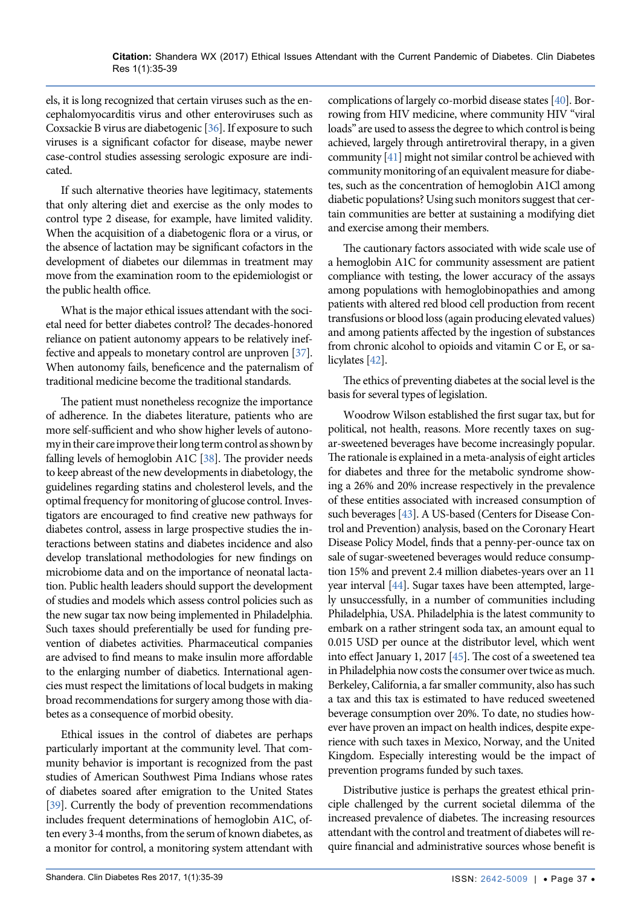els, it is long recognized that certain viruses such as the encephalomyocarditis virus and other enteroviruses such as Coxsackie B virus are diabetogenic [\[36](#page-4-24)]. If exposure to such viruses is a significant cofactor for disease, maybe newer case-control studies assessing serologic exposure are indicated.

If such alternative theories have legitimacy, statements that only altering diet and exercise as the only modes to control type 2 disease, for example, have limited validity. When the acquisition of a diabetogenic flora or a virus, or the absence of lactation may be significant cofactors in the development of diabetes our dilemmas in treatment may move from the examination room to the epidemiologist or the public health office.

What is the major ethical issues attendant with the societal need for better diabetes control? The decades-honored reliance on patient autonomy appears to be relatively ineffective and appeals to monetary control are unproven [\[37](#page-4-25)]. When autonomy fails, beneficence and the paternalism of traditional medicine become the traditional standards.

The patient must nonetheless recognize the importance of adherence. In the diabetes literature, patients who are more self-sufficient and who show higher levels of autonomy in their care improve their long term control as shown by falling levels of hemoglobin A1C [\[38](#page-4-26)]. The provider needs to keep abreast of the new developments in diabetology, the guidelines regarding statins and cholesterol levels, and the optimal frequency for monitoring of glucose control. Investigators are encouraged to find creative new pathways for diabetes control, assess in large prospective studies the interactions between statins and diabetes incidence and also develop translational methodologies for new findings on microbiome data and on the importance of neonatal lactation. Public health leaders should support the development of studies and models which assess control policies such as the new sugar tax now being implemented in Philadelphia. Such taxes should preferentially be used for funding prevention of diabetes activities. Pharmaceutical companies are advised to find means to make insulin more affordable to the enlarging number of diabetics. International agencies must respect the limitations of local budgets in making broad recommendations for surgery among those with diabetes as a consequence of morbid obesity.

Ethical issues in the control of diabetes are perhaps particularly important at the community level. That community behavior is important is recognized from the past studies of American Southwest Pima Indians whose rates of diabetes soared after emigration to the United States [\[39](#page-4-27)]. Currently the body of prevention recommendations includes frequent determinations of hemoglobin A1C, often every 3-4 months, from the serum of known diabetes, as a monitor for control, a monitoring system attendant with

complications of largely co-morbid disease states [\[40](#page-4-18)]. Borrowing from HIV medicine, where community HIV "viral loads" are used to assess the degree to which control is being achieved, largely through antiretroviral therapy, in a given community [\[41\]](#page-4-19) might not similar control be achieved with community monitoring of an equivalent measure for diabetes, such as the concentration of hemoglobin A1Cl among diabetic populations? Using such monitors suggest that certain communities are better at sustaining a modifying diet and exercise among their members.

The cautionary factors associated with wide scale use of a hemoglobin A1C for community assessment are patient compliance with testing, the lower accuracy of the assays among populations with hemoglobinopathies and among patients with altered red blood cell production from recent transfusions or blood loss (again producing elevated values) and among patients affected by the ingestion of substances from chronic alcohol to opioids and vitamin C or E, or salicylates [[42\]](#page-4-20).

The ethics of preventing diabetes at the social level is the basis for several types of legislation.

Woodrow Wilson established the first sugar tax, but for political, not health, reasons. More recently taxes on sugar-sweetened beverages have become increasingly popular. The rationale is explained in a meta-analysis of eight articles for diabetes and three for the metabolic syndrome showing a 26% and 20% increase respectively in the prevalence of these entities associated with increased consumption of such beverages [\[43](#page-4-21)]. A US-based (Centers for Disease Control and Prevention) analysis, based on the Coronary Heart Disease Policy Model, finds that a penny-per-ounce tax on sale of sugar-sweetened beverages would reduce consumption 15% and prevent 2.4 million diabetes-years over an 11 year interval [\[44](#page-4-22)]. Sugar taxes have been attempted, largely unsuccessfully, in a number of communities including Philadelphia, USA. Philadelphia is the latest community to embark on a rather stringent soda tax, an amount equal to 0.015 USD per ounce at the distributor level, which went into effect January 1, 2017 [\[45](#page-4-23)]. The cost of a sweetened tea in Philadelphia now costs the consumer over twice as much. Berkeley, California, a far smaller community, also has such a tax and this tax is estimated to have reduced sweetened beverage consumption over 20%. To date, no studies however have proven an impact on health indices, despite experience with such taxes in Mexico, Norway, and the United Kingdom. Especially interesting would be the impact of prevention programs funded by such taxes.

Distributive justice is perhaps the greatest ethical principle challenged by the current societal dilemma of the increased prevalence of diabetes. The increasing resources attendant with the control and treatment of diabetes will require financial and administrative sources whose benefit is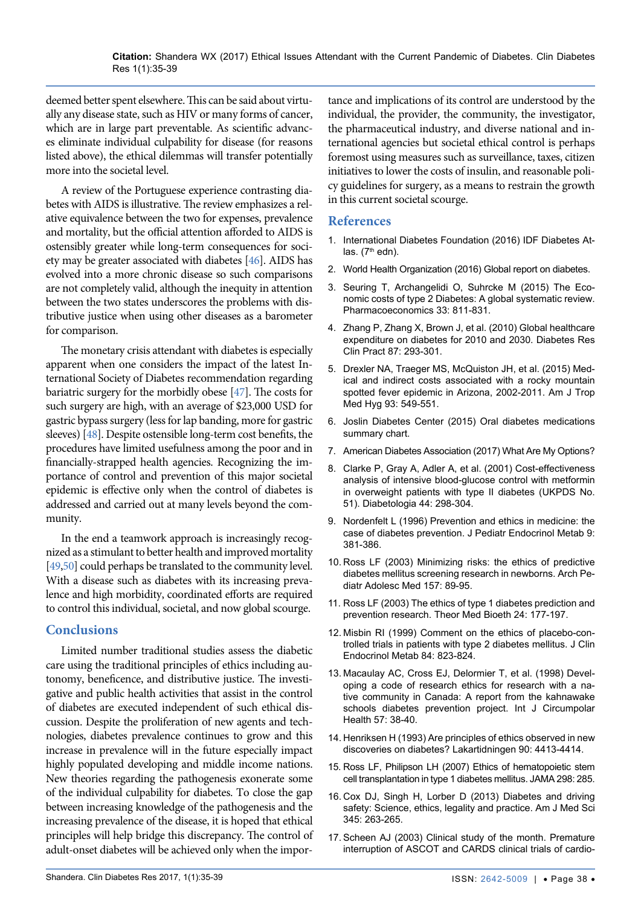deemed better spent elsewhere. This can be said about virtually any disease state, such as HIV or many forms of cancer, which are in large part preventable. As scientific advances eliminate individual culpability for disease (for reasons listed above), the ethical dilemmas will transfer potentially more into the societal level.

A review of the Portuguese experience contrasting diabetes with AIDS is illustrative. The review emphasizes a relative equivalence between the two for expenses, prevalence and mortality, but the official attention afforded to AIDS is ostensibly greater while long-term consequences for society may be greater associated with diabetes [\[46](#page-4-28)]. AIDS has evolved into a more chronic disease so such comparisons are not completely valid, although the inequity in attention between the two states underscores the problems with distributive justice when using other diseases as a barometer for comparison.

The monetary crisis attendant with diabetes is especially apparent when one considers the impact of the latest International Society of Diabetes recommendation regarding bariatric surgery for the morbidly obese [\[47](#page-4-29)]. The costs for such surgery are high, with an average of \$23,000 USD for gastric bypass surgery (less for lap banding, more for gastric sleeves) [\[48](#page-4-30)]. Despite ostensible long-term cost benefits, the procedures have limited usefulness among the poor and in financially-strapped health agencies. Recognizing the importance of control and prevention of this major societal epidemic is effective only when the control of diabetes is addressed and carried out at many levels beyond the community.

In the end a teamwork approach is increasingly recognized as a stimulant to better health and improved mortality [\[49](#page-4-31),[50\]](#page-4-32) could perhaps be translated to the community level. With a disease such as diabetes with its increasing prevalence and high morbidity, coordinated efforts are required to control this individual, societal, and now global scourge.

#### **Conclusions**

Limited number traditional studies assess the diabetic care using the traditional principles of ethics including autonomy, beneficence, and distributive justice. The investigative and public health activities that assist in the control of diabetes are executed independent of such ethical discussion. Despite the proliferation of new agents and technologies, diabetes prevalence continues to grow and this increase in prevalence will in the future especially impact highly populated developing and middle income nations. New theories regarding the pathogenesis exonerate some of the individual culpability for diabetes. To close the gap between increasing knowledge of the pathogenesis and the increasing prevalence of the disease, it is hoped that ethical principles will help bridge this discrepancy. The control of adult-onset diabetes will be achieved only when the importance and implications of its control are understood by the individual, the provider, the community, the investigator, the pharmaceutical industry, and diverse national and international agencies but societal ethical control is perhaps foremost using measures such as surveillance, taxes, citizen initiatives to lower the costs of insulin, and reasonable policy guidelines for surgery, as a means to restrain the growth in this current societal scourge.

#### **References**

- <span id="page-3-0"></span>1. [International Diabetes Foundation \(2016\) IDF Diabetes At](http://www.diabetesatlas.org/)las.  $(7<sup>th</sup>$  edn).
- <span id="page-3-1"></span>2. [World Health Organization \(2016\) Global report on diabetes.](http://apps.who.int/iris/bitstream/10665/204871/1/9789241565257_eng.pdf)
- <span id="page-3-2"></span>3. [Seuring T, Archangelidi O, Suhrcke M \(2015\) The Eco](https://www.ncbi.nlm.nih.gov/pubmed/25787932)[nomic costs of type 2 Diabetes: A global systematic review.](https://www.ncbi.nlm.nih.gov/pubmed/25787932)  [Pharmacoeconomics 33: 811-831.](https://www.ncbi.nlm.nih.gov/pubmed/25787932)
- <span id="page-3-3"></span>4. [Zhang P, Zhang X, Brown J, et al. \(2010\) Global healthcare](https://www.ncbi.nlm.nih.gov/pubmed/20171754)  [expenditure on diabetes for 2010 and 2030. Diabetes Res](https://www.ncbi.nlm.nih.gov/pubmed/20171754)  [Clin Pract 87: 293-301.](https://www.ncbi.nlm.nih.gov/pubmed/20171754)
- <span id="page-3-4"></span>5. [Drexler NA, Traeger MS, McQuiston JH, et al. \(2015\) Med](https://www.ncbi.nlm.nih.gov/pubmed/26033020)[ical and indirect costs associated with a rocky mountain](https://www.ncbi.nlm.nih.gov/pubmed/26033020)  [spotted fever epidemic in Arizona, 2002-2011. Am J Trop](https://www.ncbi.nlm.nih.gov/pubmed/26033020)  [Med Hyg 93: 549-551.](https://www.ncbi.nlm.nih.gov/pubmed/26033020)
- <span id="page-3-5"></span>6. [Joslin Diabetes Center \(2015\) Oral diabetes medications](http://www.joslin.org/info/oral_diabetes_medications_summary_chart.html)  [summary chart.](http://www.joslin.org/info/oral_diabetes_medications_summary_chart.html)
- <span id="page-3-6"></span>7. [American Diabetes Association \(2017\) What Are My Options?](http://www.diabetes.org/living-with-diabetes/treatment-and-care/medication/oral-medications/what-are-my-options.html?referrer=https://www.google.com/)
- <span id="page-3-7"></span>8. [Clarke P, Gray A, Adler A, et al. \(2001\) Cost-effectiveness](https://www.ncbi.nlm.nih.gov/pubmed/11317659)  [analysis of intensive blood-glucose control with metformin](https://www.ncbi.nlm.nih.gov/pubmed/11317659)  [in overweight patients with type II diabetes \(UKPDS No.](https://www.ncbi.nlm.nih.gov/pubmed/11317659)  [51\). Diabetologia 44: 298-304.](https://www.ncbi.nlm.nih.gov/pubmed/11317659)
- <span id="page-3-8"></span>9. [Nordenfelt L \(1996\) Prevention and ethics in medicine: the](https://www.ncbi.nlm.nih.gov/pubmed/8887147)  [case of diabetes prevention. J Pediatr Endocrinol Metab 9:](https://www.ncbi.nlm.nih.gov/pubmed/8887147)  [381-386.](https://www.ncbi.nlm.nih.gov/pubmed/8887147)
- 10. [Ross LF \(2003\) Minimizing risks: the ethics of predictive](https://www.ncbi.nlm.nih.gov/pubmed/12517201)  [diabetes mellitus screening research in newborns. Arch Pe](https://www.ncbi.nlm.nih.gov/pubmed/12517201)[diatr Adolesc Med 157: 89-95.](https://www.ncbi.nlm.nih.gov/pubmed/12517201)
- <span id="page-3-9"></span>11. [Ross LF \(2003\) The ethics of type 1 diabetes prediction and](https://www.ncbi.nlm.nih.gov/pubmed/12943271)  [prevention research. Theor Med Bioeth 24: 177-197.](https://www.ncbi.nlm.nih.gov/pubmed/12943271)
- <span id="page-3-10"></span>12. [Misbin RI \(1999\) Comment on the ethics of placebo-con](https://www.ncbi.nlm.nih.gov/pubmed/10022465)[trolled trials in patients with type 2 diabetes mellitus. J Clin](https://www.ncbi.nlm.nih.gov/pubmed/10022465)  [Endocrinol Metab 84: 823-824.](https://www.ncbi.nlm.nih.gov/pubmed/10022465)
- 13. [Macaulay AC, Cross EJ, Delormier T, et al. \(1998\) Devel](https://www.ncbi.nlm.nih.gov/pubmed/10093242)[oping a code of research ethics for research with a na](https://www.ncbi.nlm.nih.gov/pubmed/10093242)[tive community in Canada: A report from the kahnawake](https://www.ncbi.nlm.nih.gov/pubmed/10093242)  [schools diabetes prevention project. Int J Circumpolar](https://www.ncbi.nlm.nih.gov/pubmed/10093242)  [Health 57: 38-40.](https://www.ncbi.nlm.nih.gov/pubmed/10093242)
- <span id="page-3-11"></span>14. [Henriksen H \(1993\) Are principles of ethics observed in new](https://www.ncbi.nlm.nih.gov/pubmed/8271877)  [discoveries on diabetes? Lakartidningen 90: 4413-4414.](https://www.ncbi.nlm.nih.gov/pubmed/8271877)
- <span id="page-3-12"></span>15. [Ross LF, Philipson LH \(2007\) Ethics of hematopoietic stem](https://www.ncbi.nlm.nih.gov/pubmed/17635886)  [cell transplantation in type 1 diabetes mellitus. JAMA 298: 285.](https://www.ncbi.nlm.nih.gov/pubmed/17635886)
- <span id="page-3-13"></span>16. [Cox DJ, Singh H, Lorber D \(2013\) Diabetes and driving](https://www.ncbi.nlm.nih.gov/pubmed/23531955)  [safety: Science, ethics, legality and practice. Am J Med Sci](https://www.ncbi.nlm.nih.gov/pubmed/23531955)  [345: 263-265.](https://www.ncbi.nlm.nih.gov/pubmed/23531955)
- <span id="page-3-14"></span>17. [Scheen AJ \(2003\) Clinical study of the month. Premature](https://www.ncbi.nlm.nih.gov/pubmed/14626655)  [interruption of ASCOT and CARDS clinical trials of cardio-](https://www.ncbi.nlm.nih.gov/pubmed/14626655)